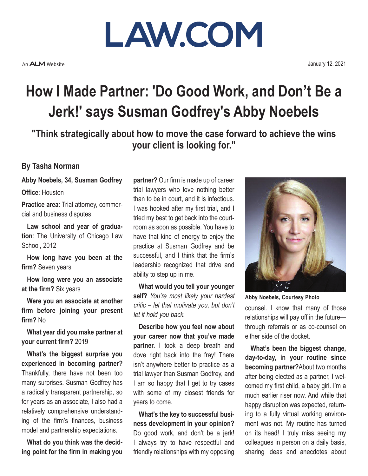## **LAW.COM**

An **ALM** Website

January 12, 2021

## **How I Made Partner: 'Do Good Work, and Don't Be a Jerk!' says Susman Godfrey's Abby Noebels**

**"Think strategically about how to move the case forward to achieve the wins your client is looking for."**

## **By Tasha Norman**

**Abby Noebels, 34, Susman Godfrey**

**Office**: Houston

**Practice area**: Trial attorney, commercial and business disputes

**Law school and year of graduation**: The University of Chicago Law School, 2012

**How long have you been at the firm?** Seven years

**How long were you an associate at the firm?** Six years

**Were you an associate at another firm before joining your present firm?** No

**What year did you make partner at your current firm?** 2019

**What's the biggest surprise you experienced in becoming partner?**  Thankfully, there have not been too many surprises. Susman Godfrey has a radically transparent partnership, so for years as an associate, I also had a relatively comprehensive understanding of the firm's finances, business model and partnership expectations.

**What do you think was the deciding point for the firm in making you** 

**partner?** Our firm is made up of career trial lawyers who love nothing better than to be in court, and it is infectious. I was hooked after my first trial, and I tried my best to get back into the courtroom as soon as possible. You have to have that kind of energy to enjoy the practice at Susman Godfrey and be successful, and I think that the firm's leadership recognized that drive and ability to step up in me.

**What would you tell your younger self?** You're most likely your hardest critic – let that motivate you, but don't let it hold you back.

**Describe how you feel now about your career now that you've made partner.** I took a deep breath and dove right back into the fray! There isn't anywhere better to practice as a trial lawyer than Susman Godfrey, and I am so happy that I get to try cases with some of my closest friends for years to come.

**What's the key to successful business development in your opinion?**  Do good work, and don't be a jerk! I always try to have respectful and friendly relationships with my opposing



**Abby Noebels, Courtesy Photo**

counsel. I know that many of those relationships will pay off in the future through referrals or as co-counsel on either side of the docket.

**What's been the biggest change, day-to-day, in your routine since becoming partner?**About two months after being elected as a partner, I welcomed my first child, a baby girl. I'm a much earlier riser now. And while that happy disruption was expected, returning to a fully virtual working environment was not. My routine has turned on its head! I truly miss seeing my colleagues in person on a daily basis, sharing ideas and anecdotes about